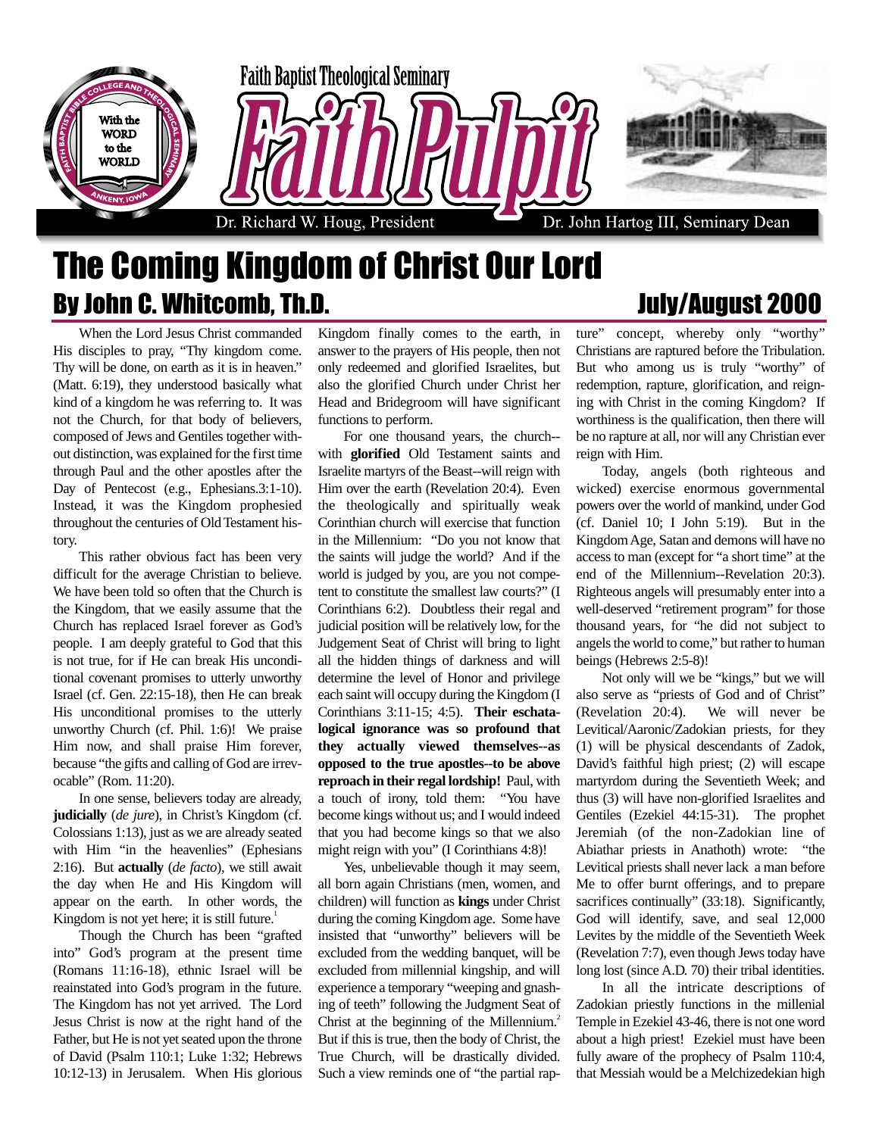

## The Coming Kingdom of Christ Our Lord By John C. Whitcomb, Th.D. Same Company of the United States of August 2000

When the Lord Jesus Christ commanded His disciples to pray, "Thy kingdom come. Thy will be done, on earth as it is in heaven." (Matt. 6:19), they understood basically what kind of a kingdom he was referring to. It was not the Church, for that body of believers, composed of Jews and Gentiles together without distinction, was explained for the first time through Paul and the other apostles after the Day of Pentecost (e.g., Ephesians.3:1-10). Instead, it was the Kingdom prophesied throughout the centuries of Old Testament history.

This rather obvious fact has been very difficult for the average Christian to believe. We have been told so often that the Church is the Kingdom, that we easily assume that the Church has replaced Israel forever as God's people. I am deeply grateful to God that this is not true, for if He can break His unconditional covenant promises to utterly unworthy Israel (cf. Gen. 22:15-18), then He can break His unconditional promises to the utterly unworthy Church (cf. Phil. 1:6)! We praise Him now, and shall praise Him forever, because "the gifts and calling of God are irrevocable" (Rom. 11:20).

In one sense, believers today are already, **judicially** (*de jure*), in Christ's Kingdom (cf. Colossians 1:13), just as we are already seated with Him "in the heavenlies" (Ephesians 2:16). But **actually** (*de facto*), we still await the day when He and His Kingdom will appear on the earth. In other words, the Kingdom is not yet here; it is still future.<sup>1</sup>

Though the Church has been "grafted into" God's program at the present time (Romans 11:16-18), ethnic Israel will be reainstated into God's program in the future. The Kingdom has not yet arrived. The Lord Jesus Christ is now at the right hand of the Father, but He is not yet seated upon the throne of David (Psalm 110:1; Luke 1:32; Hebrews 10:12-13) in Jerusalem. When His glorious

Kingdom finally comes to the earth, in answer to the prayers of His people, then not only redeemed and glorified Israelites, but also the glorified Church under Christ her Head and Bridegroom will have significant functions to perform.

For one thousand years, the church- with **glorified** Old Testament saints and Israelite martyrs of the Beast--will reign with Him over the earth (Revelation 20:4). Even the theologically and spiritually weak Corinthian church will exercise that function in the Millennium: "Do you not know that the saints will judge the world? And if the world is judged by you, are you not competent to constitute the smallest law courts?" (I Corinthians 6:2). Doubtless their regal and judicial position will be relatively low, for the Judgement Seat of Christ will bring to light all the hidden things of darkness and will determine the level of Honor and privilege each saint will occupy during the Kingdom (I Corinthians 3:11-15; 4:5). **Their eschatalogical ignorance was so profound that they actually viewed themselves--as opposed to the true apostles--to be above reproach in their regal lordship!** Paul, with a touch of irony, told them: "You have become kings without us; and I would indeed that you had become kings so that we also might reign with you" (I Corinthians 4:8)!

Yes, unbelievable though it may seem, all born again Christians (men, women, and children) will function as **kings** under Christ during the coming Kingdom age. Some have insisted that "unworthy" believers will be excluded from the wedding banquet, will be excluded from millennial kingship, and will experience a temporary "weeping and gnashing of teeth" following the Judgment Seat of Christ at the beginning of the Millennium.<sup>2</sup> But if this is true, then the body of Christ, the True Church, will be drastically divided. Such a view reminds one of "the partial rap-

ture" concept, whereby only "worthy" Christians are raptured before the Tribulation. But who among us is truly "worthy" of redemption, rapture, glorification, and reigning with Christ in the coming Kingdom? If worthiness is the qualification, then there will be no rapture at all, nor will any Christian ever reign with Him.

Today, angels (both righteous and wicked) exercise enormous governmental powers over the world of mankind, under God (cf. Daniel 10; I John 5:19). But in the Kingdom Age, Satan and demons will have no access to man (except for "a short time" at the end of the Millennium--Revelation 20:3). Righteous angels will presumably enter into a well-deserved "retirement program" for those thousand years, for "he did not subject to angels the world to come," but rather to human beings (Hebrews 2:5-8)!

Not only will we be "kings," but we will also serve as "priests of God and of Christ" (Revelation 20:4). We will never be Levitical/Aaronic/Zadokian priests, for they (1) will be physical descendants of Zadok, David's faithful high priest; (2) will escape martyrdom during the Seventieth Week; and thus (3) will have non-glorified Israelites and Gentiles (Ezekiel 44:15-31). The prophet Jeremiah (of the non-Zadokian line of Abiathar priests in Anathoth) wrote: "the Levitical priests shall never lack a man before Me to offer burnt offerings, and to prepare sacrifices continually" (33:18). Significantly, God will identify, save, and seal 12,000 Levites by the middle of the Seventieth Week (Revelation 7:7), even though Jews today have long lost (since A.D. 70) their tribal identities.

In all the intricate descriptions of Zadokian priestly functions in the millenial Temple in Ezekiel 43-46, there is not one word about a high priest! Ezekiel must have been fully aware of the prophecy of Psalm 110:4, that Messiah would be a Melchizedekian high